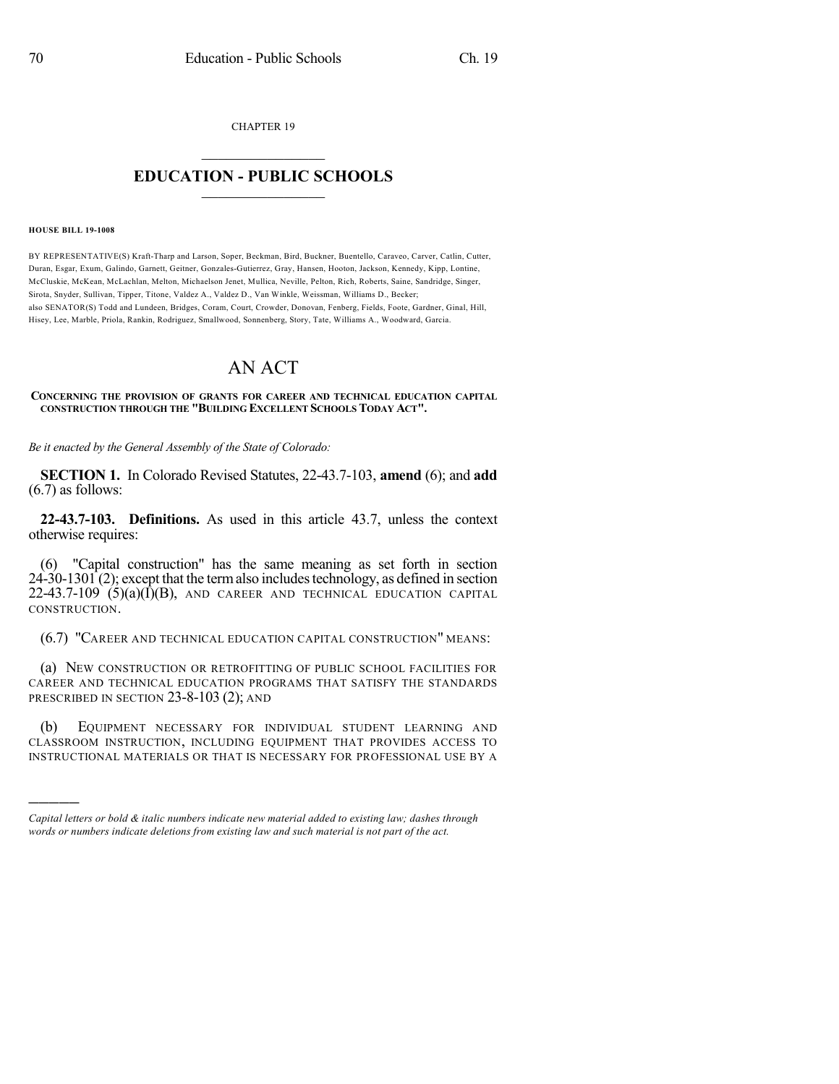CHAPTER 19  $\mathcal{L}_\text{max}$  . The set of the set of the set of the set of the set of the set of the set of the set of the set of the set of the set of the set of the set of the set of the set of the set of the set of the set of the set

## **EDUCATION - PUBLIC SCHOOLS**  $\_$   $\_$   $\_$   $\_$   $\_$   $\_$   $\_$   $\_$   $\_$

## **HOUSE BILL 19-1008**

)))))

BY REPRESENTATIVE(S) Kraft-Tharp and Larson, Soper, Beckman, Bird, Buckner, Buentello, Caraveo, Carver, Catlin, Cutter, Duran, Esgar, Exum, Galindo, Garnett, Geitner, Gonzales-Gutierrez, Gray, Hansen, Hooton, Jackson, Kennedy, Kipp, Lontine, McCluskie, McKean, McLachlan, Melton, Michaelson Jenet, Mullica, Neville, Pelton, Rich, Roberts, Saine, Sandridge, Singer, Sirota, Snyder, Sullivan, Tipper, Titone, Valdez A., Valdez D., Van Winkle, Weissman, Williams D., Becker; also SENATOR(S) Todd and Lundeen, Bridges, Coram, Court, Crowder, Donovan, Fenberg, Fields, Foote, Gardner, Ginal, Hill, Hisey, Lee, Marble, Priola, Rankin, Rodriguez, Smallwood, Sonnenberg, Story, Tate, Williams A., Woodward, Garcia.

## AN ACT

## **CONCERNING THE PROVISION OF GRANTS FOR CAREER AND TECHNICAL EDUCATION CAPITAL CONSTRUCTION THROUGH THE "BUILDING EXCELLENT SCHOOLS TODAY ACT".**

*Be it enacted by the General Assembly of the State of Colorado:*

**SECTION 1.** In Colorado Revised Statutes, 22-43.7-103, **amend** (6); and **add** (6.7) as follows:

**22-43.7-103. Definitions.** As used in this article 43.7, unless the context otherwise requires:

(6) "Capital construction" has the same meaning as set forth in section  $24-30-1301(2)$ ; except that the term also includes technology, as defined in section  $22-43.7-109$  (5)(a)(I)(B), AND CAREER AND TECHNICAL EDUCATION CAPITAL CONSTRUCTION.

(6.7) "CAREER AND TECHNICAL EDUCATION CAPITAL CONSTRUCTION" MEANS:

(a) NEW CONSTRUCTION OR RETROFITTING OF PUBLIC SCHOOL FACILITIES FOR CAREER AND TECHNICAL EDUCATION PROGRAMS THAT SATISFY THE STANDARDS PRESCRIBED IN SECTION 23-8-103 (2); AND

(b) EQUIPMENT NECESSARY FOR INDIVIDUAL STUDENT LEARNING AND CLASSROOM INSTRUCTION, INCLUDING EQUIPMENT THAT PROVIDES ACCESS TO INSTRUCTIONAL MATERIALS OR THAT IS NECESSARY FOR PROFESSIONAL USE BY A

*Capital letters or bold & italic numbers indicate new material added to existing law; dashes through words or numbers indicate deletions from existing law and such material is not part of the act.*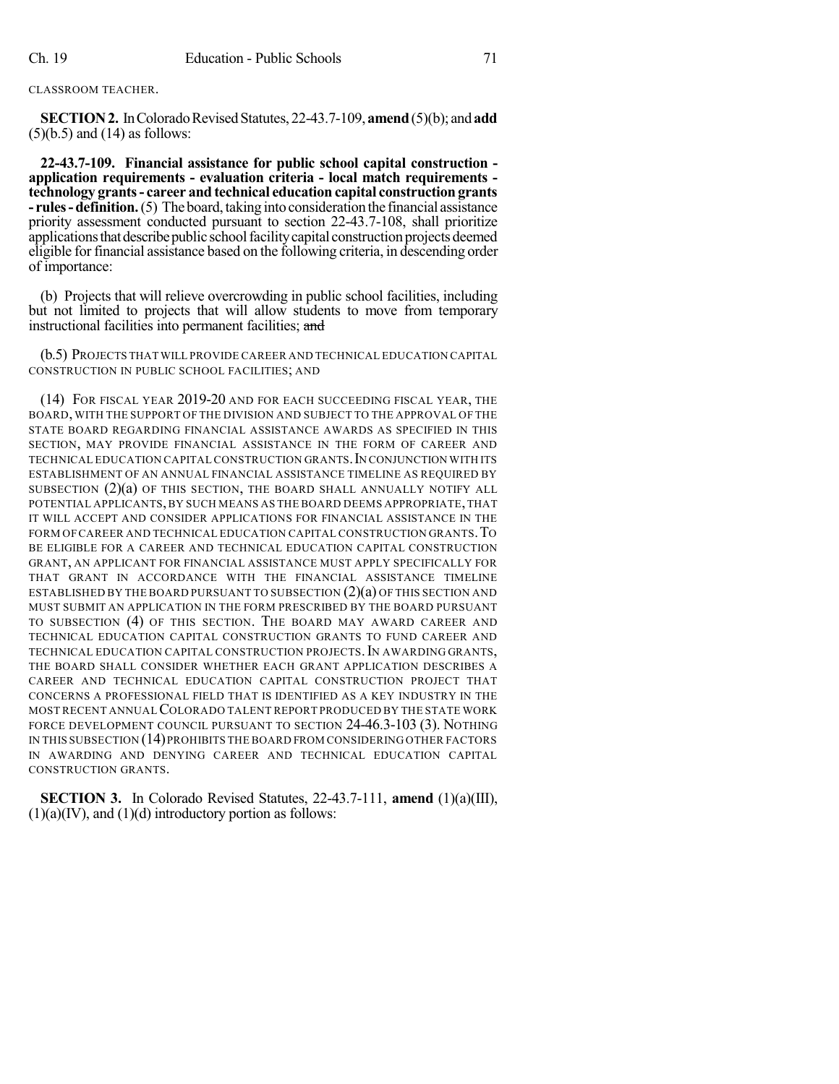CLASSROOM TEACHER.

**SECTION 2.** In Colorado Revised Statutes, 22-43.7-109, **amend** (5)(b); and **add**  $(5)(b.5)$  and  $(14)$  as follows:

**22-43.7-109. Financial assistance for public school capital construction application requirements - evaluation criteria - local match requirements technology grants- career and technical education capital construction grants - rules** - **definition.** (5) The board, taking into consideration the financial assistance priority assessment conducted pursuant to section 22-43.7-108, shall prioritize applications that describe public school facility capital construction projects deemed eligible for financial assistance based on the following criteria, in descending order of importance:

(b) Projects that will relieve overcrowding in public school facilities, including but not limited to projects that will allow students to move from temporary instructional facilities into permanent facilities; and

(b.5) PROJECTS THAT WILL PROVIDE CAREER AND TECHNICAL EDUCATION CAPITAL CONSTRUCTION IN PUBLIC SCHOOL FACILITIES; AND

(14) FOR FISCAL YEAR 2019-20 AND FOR EACH SUCCEEDING FISCAL YEAR, THE BOARD, WITH THE SUPPORT OF THE DIVISION AND SUBJECT TO THE APPROVAL OF THE STATE BOARD REGARDING FINANCIAL ASSISTANCE AWARDS AS SPECIFIED IN THIS SECTION, MAY PROVIDE FINANCIAL ASSISTANCE IN THE FORM OF CAREER AND TECHNICAL EDUCATION CAPITAL CONSTRUCTION GRANTS. IN CONJUNCTION WITH ITS ESTABLISHMENT OF AN ANNUAL FINANCIAL ASSISTANCE TIMELINE AS REQUIRED BY SUBSECTION  $(2)(a)$  OF THIS SECTION, THE BOARD SHALL ANNUALLY NOTIFY ALL POTENTIAL APPLICANTS, BY SUCH MEANS AS THE BOARD DEEMS APPROPRIATE, THAT IT WILL ACCEPT AND CONSIDER APPLICATIONS FOR FINANCIAL ASSISTANCE IN THE FORM OFCAREER AND TECHNICAL EDUCATION CAPITAL CONSTRUCTION GRANTS.TO BE ELIGIBLE FOR A CAREER AND TECHNICAL EDUCATION CAPITAL CONSTRUCTION GRANT, AN APPLICANT FOR FINANCIAL ASSISTANCE MUST APPLY SPECIFICALLY FOR THAT GRANT IN ACCORDANCE WITH THE FINANCIAL ASSISTANCE TIMELINE ESTABLISHED BY THE BOARD PURSUANT TO SUBSECTION  $(2)(a)$  OF THIS SECTION AND MUST SUBMIT AN APPLICATION IN THE FORM PRESCRIBED BY THE BOARD PURSUANT TO SUBSECTION (4) OF THIS SECTION. THE BOARD MAY AWARD CAREER AND TECHNICAL EDUCATION CAPITAL CONSTRUCTION GRANTS TO FUND CAREER AND TECHNICAL EDUCATION CAPITAL CONSTRUCTION PROJECTS. IN AWARDING GRANTS, THE BOARD SHALL CONSIDER WHETHER EACH GRANT APPLICATION DESCRIBES A CAREER AND TECHNICAL EDUCATION CAPITAL CONSTRUCTION PROJECT THAT CONCERNS A PROFESSIONAL FIELD THAT IS IDENTIFIED AS A KEY INDUSTRY IN THE MOST RECENT ANNUALCOLORADO TALENT REPORT PRODUCED BY THE STATE WORK FORCE DEVELOPMENT COUNCIL PURSUANT TO SECTION 24-46.3-103 (3). NOTHING IN THIS SUBSECTION (14)PROHIBITS THE BOARD FROM CONSIDERING OTHER FACTORS IN AWARDING AND DENYING CAREER AND TECHNICAL EDUCATION CAPITAL CONSTRUCTION GRANTS.

**SECTION 3.** In Colorado Revised Statutes, 22-43.7-111, **amend** (1)(a)(III),  $(1)(a)(IV)$ , and  $(1)(d)$  introductory portion as follows: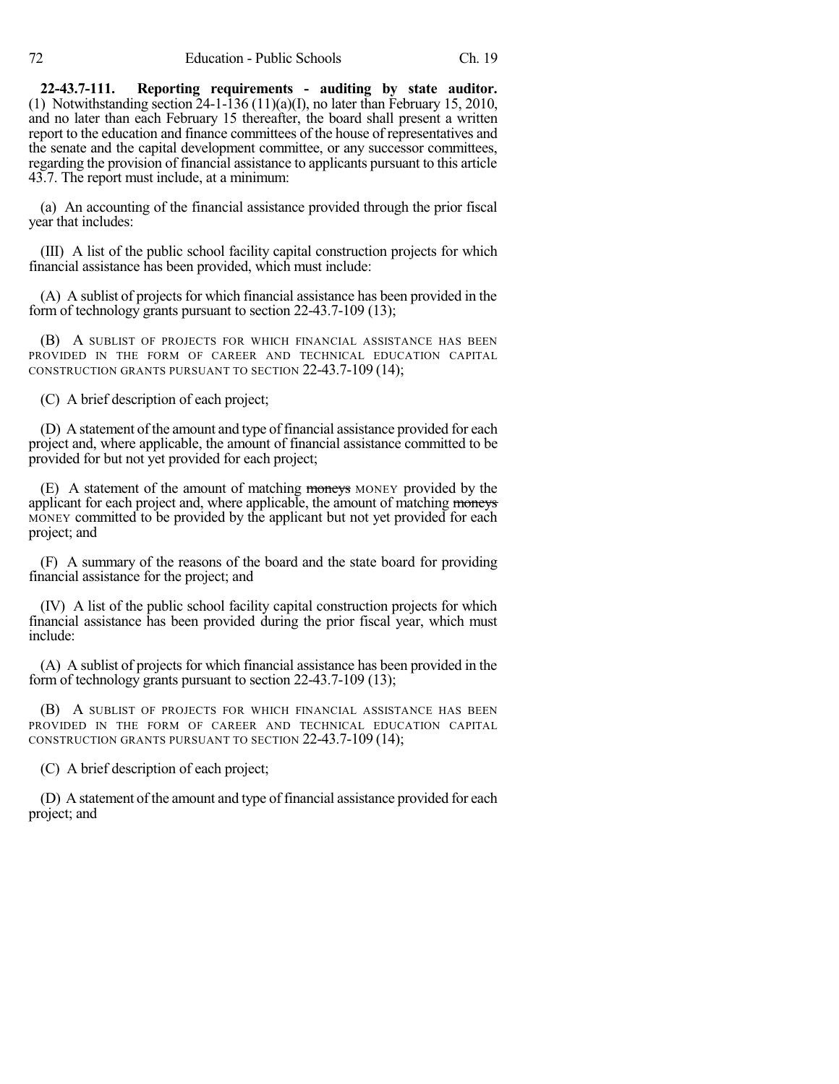**22-43.7-111. Reporting requirements - auditing by state auditor.** (1) Notwithstanding section  $24-1-136(11)(a)(I)$ , no later than February 15, 2010, and no later than each February 15 thereafter, the board shall present a written report to the education and finance committees of the house of representatives and the senate and the capital development committee, or any successor committees, regarding the provision of financial assistance to applicants pursuant to this article 43.7. The report must include, at a minimum:

(a) An accounting of the financial assistance provided through the prior fiscal year that includes:

(III) A list of the public school facility capital construction projects for which financial assistance has been provided, which must include:

(A) A sublist of projects for which financial assistance has been provided in the form of technology grants pursuant to section 22-43.7-109 (13);

(B) A SUBLIST OF PROJECTS FOR WHICH FINANCIAL ASSISTANCE HAS BEEN PROVIDED IN THE FORM OF CAREER AND TECHNICAL EDUCATION CAPITAL CONSTRUCTION GRANTS PURSUANT TO SECTION 22-43.7-109 (14);

(C) A brief description of each project;

(D) A statement of the amount and type of financial assistance provided for each project and, where applicable, the amount of financial assistance committed to be provided for but not yet provided for each project;

(E) A statement of the amount of matching moneys MONEY provided by the applicant for each project and, where applicable, the amount of matching moneys MONEY committed to be provided by the applicant but not yet provided for each project; and

(F) A summary of the reasons of the board and the state board for providing financial assistance for the project; and

(IV) A list of the public school facility capital construction projects for which financial assistance has been provided during the prior fiscal year, which must include:

(A) A sublist of projects for which financial assistance has been provided in the form of technology grants pursuant to section 22-43.7-109 (13);

(B) A SUBLIST OF PROJECTS FOR WHICH FINANCIAL ASSISTANCE HAS BEEN PROVIDED IN THE FORM OF CAREER AND TECHNICAL EDUCATION CAPITAL CONSTRUCTION GRANTS PURSUANT TO SECTION 22-43.7-109 (14);

(C) A brief description of each project;

(D) A statement of the amount and type of financial assistance provided for each project; and